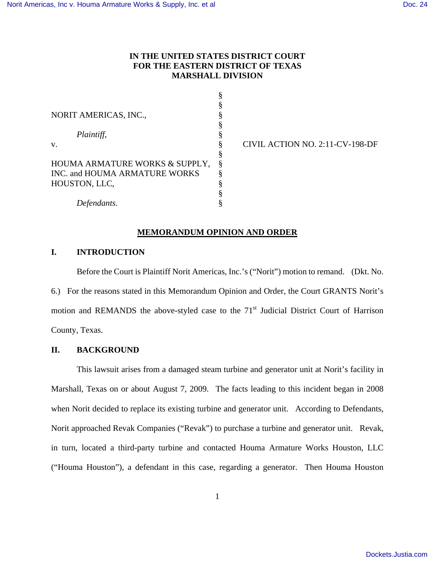## **IN THE UNITED STATES DISTRICT COURT FOR THE EASTERN DISTRICT OF TEXAS MARSHALL DIVISION**

| NORIT AMERICAS, INC.,          | § |
|--------------------------------|---|
|                                |   |
| Plaintiff,                     | § |
| V.                             | § |
|                                | § |
| HOUMA ARMATURE WORKS & SUPPLY, | Ş |
| INC. and HOUMA ARMATURE WORKS  | ş |
| HOUSTON, LLC,                  | § |
|                                | § |
| Defendants.                    |   |

CIVIL ACTION NO. 2:11-CV-198-DF

## **MEMORANDUM OPINION AND ORDER**

## **I. INTRODUCTION**

Before the Court is Plaintiff Norit Americas, Inc.'s ("Norit") motion to remand. (Dkt. No. 6.) For the reasons stated in this Memorandum Opinion and Order, the Court GRANTS Norit's motion and REMANDS the above-styled case to the  $71<sup>st</sup>$  Judicial District Court of Harrison County, Texas.

# **II. BACKGROUND**

This lawsuit arises from a damaged steam turbine and generator unit at Norit's facility in Marshall, Texas on or about August 7, 2009. The facts leading to this incident began in 2008 when Norit decided to replace its existing turbine and generator unit. According to Defendants, Norit approached Revak Companies ("Revak") to purchase a turbine and generator unit. Revak, in turn, located a third-party turbine and contacted Houma Armature Works Houston, LLC ("Houma Houston"), a defendant in this case, regarding a generator. Then Houma Houston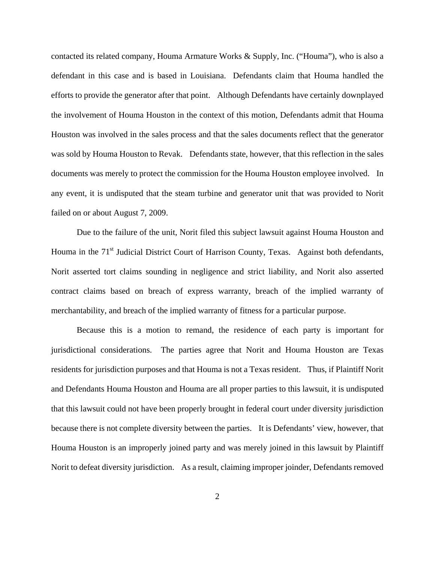contacted its related company, Houma Armature Works & Supply, Inc. ("Houma"), who is also a defendant in this case and is based in Louisiana. Defendants claim that Houma handled the efforts to provide the generator after that point. Although Defendants have certainly downplayed the involvement of Houma Houston in the context of this motion, Defendants admit that Houma Houston was involved in the sales process and that the sales documents reflect that the generator was sold by Houma Houston to Revak. Defendants state, however, that this reflection in the sales documents was merely to protect the commission for the Houma Houston employee involved. In any event, it is undisputed that the steam turbine and generator unit that was provided to Norit failed on or about August 7, 2009.

 Due to the failure of the unit, Norit filed this subject lawsuit against Houma Houston and Houma in the 71<sup>st</sup> Judicial District Court of Harrison County, Texas. Against both defendants, Norit asserted tort claims sounding in negligence and strict liability, and Norit also asserted contract claims based on breach of express warranty, breach of the implied warranty of merchantability, and breach of the implied warranty of fitness for a particular purpose.

 Because this is a motion to remand, the residence of each party is important for jurisdictional considerations. The parties agree that Norit and Houma Houston are Texas residents for jurisdiction purposes and that Houma is not a Texas resident. Thus, if Plaintiff Norit and Defendants Houma Houston and Houma are all proper parties to this lawsuit, it is undisputed that this lawsuit could not have been properly brought in federal court under diversity jurisdiction because there is not complete diversity between the parties. It is Defendants' view, however, that Houma Houston is an improperly joined party and was merely joined in this lawsuit by Plaintiff Norit to defeat diversity jurisdiction. As a result, claiming improper joinder, Defendants removed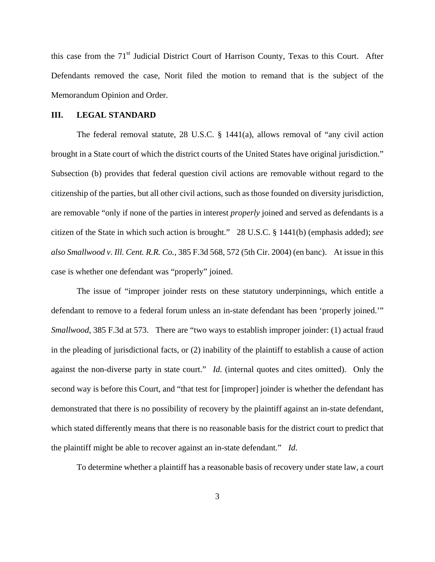this case from the 71<sup>st</sup> Judicial District Court of Harrison County, Texas to this Court. After Defendants removed the case, Norit filed the motion to remand that is the subject of the Memorandum Opinion and Order.

### **III. LEGAL STANDARD**

 The federal removal statute, 28 U.S.C. § 1441(a), allows removal of "any civil action brought in a State court of which the district courts of the United States have original jurisdiction." Subsection (b) provides that federal question civil actions are removable without regard to the citizenship of the parties, but all other civil actions, such as those founded on diversity jurisdiction, are removable "only if none of the parties in interest *properly* joined and served as defendants is a citizen of the State in which such action is brought." 28 U.S.C. § 1441(b) (emphasis added); *see also Smallwood v. Ill. Cent. R.R. Co.*, 385 F.3d 568, 572 (5th Cir. 2004) (en banc). At issue in this case is whether one defendant was "properly" joined.

 The issue of "improper joinder rests on these statutory underpinnings, which entitle a defendant to remove to a federal forum unless an in-state defendant has been 'properly joined.'" *Smallwood*, 385 F.3d at 573. There are "two ways to establish improper joinder: (1) actual fraud in the pleading of jurisdictional facts, or (2) inability of the plaintiff to establish a cause of action against the non-diverse party in state court." *Id.* (internal quotes and cites omitted). Only the second way is before this Court, and "that test for [improper] joinder is whether the defendant has demonstrated that there is no possibility of recovery by the plaintiff against an in-state defendant, which stated differently means that there is no reasonable basis for the district court to predict that the plaintiff might be able to recover against an in-state defendant." *Id*.

To determine whether a plaintiff has a reasonable basis of recovery under state law, a court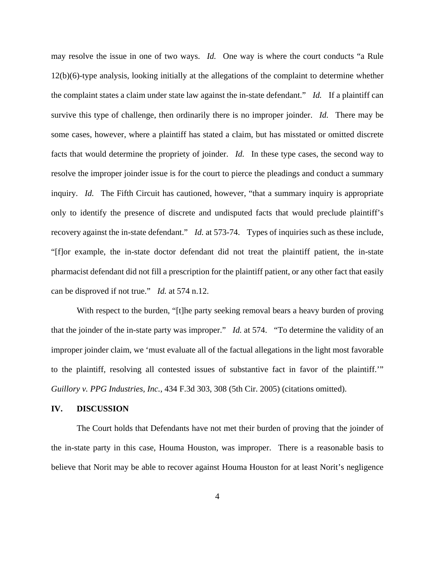may resolve the issue in one of two ways. *Id.* One way is where the court conducts "a Rule 12(b)(6)-type analysis, looking initially at the allegations of the complaint to determine whether the complaint states a claim under state law against the in-state defendant." *Id.* If a plaintiff can survive this type of challenge, then ordinarily there is no improper joinder. *Id.* There may be some cases, however, where a plaintiff has stated a claim, but has misstated or omitted discrete facts that would determine the propriety of joinder. *Id.* In these type cases, the second way to resolve the improper joinder issue is for the court to pierce the pleadings and conduct a summary inquiry. *Id.* The Fifth Circuit has cautioned, however, "that a summary inquiry is appropriate only to identify the presence of discrete and undisputed facts that would preclude plaintiff's recovery against the in-state defendant." *Id.* at 573-74. Types of inquiries such as these include, "[f]or example, the in-state doctor defendant did not treat the plaintiff patient, the in-state pharmacist defendant did not fill a prescription for the plaintiff patient, or any other fact that easily can be disproved if not true." *Id.* at 574 n.12.

With respect to the burden, "[t]he party seeking removal bears a heavy burden of proving that the joinder of the in-state party was improper." *Id.* at 574. "To determine the validity of an improper joinder claim, we 'must evaluate all of the factual allegations in the light most favorable to the plaintiff, resolving all contested issues of substantive fact in favor of the plaintiff.'" *Guillory v. PPG Industries, Inc.*, 434 F.3d 303, 308 (5th Cir. 2005) (citations omitted).

#### **IV. DISCUSSION**

 The Court holds that Defendants have not met their burden of proving that the joinder of the in-state party in this case, Houma Houston, was improper. There is a reasonable basis to believe that Norit may be able to recover against Houma Houston for at least Norit's negligence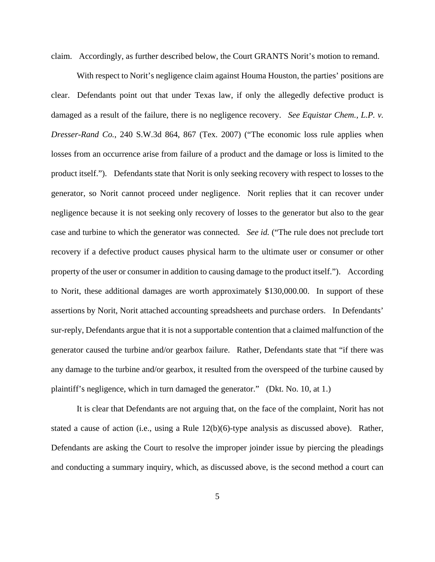claim. Accordingly, as further described below, the Court GRANTS Norit's motion to remand.

 With respect to Norit's negligence claim against Houma Houston, the parties' positions are clear. Defendants point out that under Texas law, if only the allegedly defective product is damaged as a result of the failure, there is no negligence recovery. *See Equistar Chem., L.P. v. Dresser-Rand Co.*, 240 S.W.3d 864, 867 (Tex. 2007) ("The economic loss rule applies when losses from an occurrence arise from failure of a product and the damage or loss is limited to the product itself."). Defendants state that Norit is only seeking recovery with respect to losses to the generator, so Norit cannot proceed under negligence. Norit replies that it can recover under negligence because it is not seeking only recovery of losses to the generator but also to the gear case and turbine to which the generator was connected. *See id.* ("The rule does not preclude tort recovery if a defective product causes physical harm to the ultimate user or consumer or other property of the user or consumer in addition to causing damage to the product itself."). According to Norit, these additional damages are worth approximately \$130,000.00. In support of these assertions by Norit, Norit attached accounting spreadsheets and purchase orders. In Defendants' sur-reply, Defendants argue that it is not a supportable contention that a claimed malfunction of the generator caused the turbine and/or gearbox failure. Rather, Defendants state that "if there was any damage to the turbine and/or gearbox, it resulted from the overspeed of the turbine caused by plaintiff's negligence, which in turn damaged the generator." (Dkt. No. 10, at 1.)

 It is clear that Defendants are not arguing that, on the face of the complaint, Norit has not stated a cause of action (i.e., using a Rule 12(b)(6)-type analysis as discussed above). Rather, Defendants are asking the Court to resolve the improper joinder issue by piercing the pleadings and conducting a summary inquiry, which, as discussed above, is the second method a court can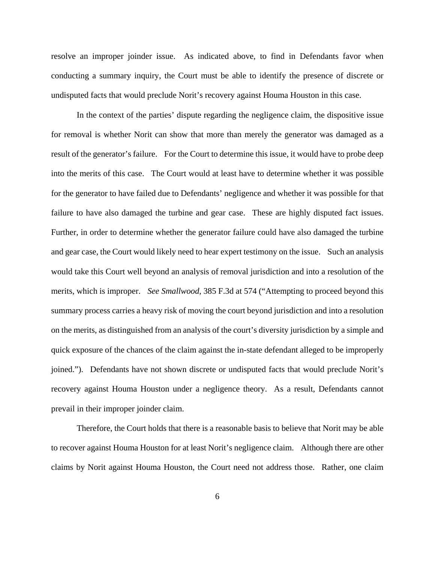resolve an improper joinder issue. As indicated above, to find in Defendants favor when conducting a summary inquiry, the Court must be able to identify the presence of discrete or undisputed facts that would preclude Norit's recovery against Houma Houston in this case.

In the context of the parties' dispute regarding the negligence claim, the dispositive issue for removal is whether Norit can show that more than merely the generator was damaged as a result of the generator's failure. For the Court to determine this issue, it would have to probe deep into the merits of this case. The Court would at least have to determine whether it was possible for the generator to have failed due to Defendants' negligence and whether it was possible for that failure to have also damaged the turbine and gear case. These are highly disputed fact issues. Further, in order to determine whether the generator failure could have also damaged the turbine and gear case, the Court would likely need to hear expert testimony on the issue. Such an analysis would take this Court well beyond an analysis of removal jurisdiction and into a resolution of the merits, which is improper. *See Smallwood*, 385 F.3d at 574 ("Attempting to proceed beyond this summary process carries a heavy risk of moving the court beyond jurisdiction and into a resolution on the merits, as distinguished from an analysis of the court's diversity jurisdiction by a simple and quick exposure of the chances of the claim against the in-state defendant alleged to be improperly joined."). Defendants have not shown discrete or undisputed facts that would preclude Norit's recovery against Houma Houston under a negligence theory. As a result, Defendants cannot prevail in their improper joinder claim.

 Therefore, the Court holds that there is a reasonable basis to believe that Norit may be able to recover against Houma Houston for at least Norit's negligence claim. Although there are other claims by Norit against Houma Houston, the Court need not address those. Rather, one claim